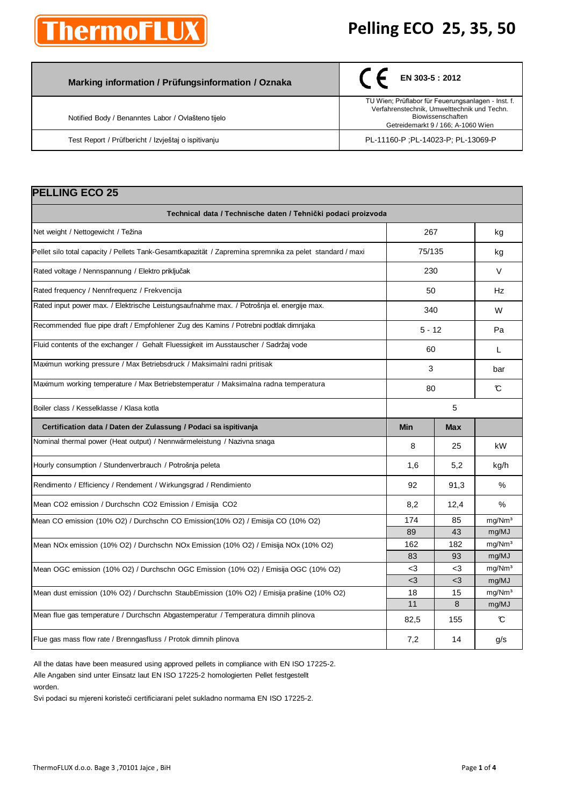# **hermoFLI**

#### **Pelling ECO 25, 35, 50**

| Marking information / Prüfungsinformation / Oznaka  | $\left( \begin{array}{ccc} \end{array} \right)$ EN 303-5 : 2012                                                                                              |
|-----------------------------------------------------|--------------------------------------------------------------------------------------------------------------------------------------------------------------|
| Notified Body / Benanntes Labor / Ovlašteno tijelo  | TU Wien; Prüflabor für Feuerungsanlagen - Inst. f.<br>Verfahrenstechnik, Umwelttechnik und Techn.<br>Biowissenschaften<br>Getreidemarkt 9 / 166; A-1060 Wien |
| Test Report / Prüfbericht / Izvještaj o ispitivanju | PL-11160-P : PL-14023-P: PL-13069-P                                                                                                                          |

| <b>PELLING ECO 25</b>                                                                                    |            |      |                    |
|----------------------------------------------------------------------------------------------------------|------------|------|--------------------|
| Technical data / Technische daten / Tehnički podaci proizvoda                                            |            |      |                    |
| Net weight / Nettogewicht / Težina                                                                       | 267        |      | kg                 |
| Pellet silo total capacity / Pellets Tank-Gesamtkapazität / Zapremina spremnika za pelet standard / maxi | 75/135     |      | kg                 |
| Rated voltage / Nennspannung / Elektro priključak                                                        | 230        |      | $\vee$             |
| Rated frequency / Nennfrequenz / Frekvencija                                                             | 50         |      | Hz                 |
| Rated input power max. / Elektrische Leistungsaufnahme max. / Potrošnja el. energije max.                | 340        |      | W                  |
| Recommended flue pipe draft / Empfohlener Zug des Kamins / Potrebni podtlak dimnjaka                     | $5 - 12$   |      | Pa                 |
| Fluid contents of the exchanger / Gehalt Fluessigkeit im Ausstauscher / Sadržaj vode                     | 60         |      | L                  |
| Maximun working pressure / Max Betriebsdruck / Maksimalni radni pritisak                                 | 3          |      | bar                |
| Maximum working temperature / Max Betriebstemperatur / Maksimalna radna temperatura                      | 80         |      | C                  |
| Boiler class / Kesselklasse / Klasa kotla                                                                | 5          |      |                    |
| Certification data / Daten der Zulassung / Podaci sa ispitivanja                                         | <b>Min</b> | Max  |                    |
| Nominal thermal power (Heat output) / Nennwärmeleistung / Nazivna snaga                                  | 8          | 25   | kW                 |
| Hourly consumption / Stundenverbrauch / Potrošnja peleta                                                 | 1,6        | 5,2  | kg/h               |
| Rendimento / Efficiency / Rendement / Wirkungsgrad / Rendimiento                                         | 92         | 91,3 | $\%$               |
| Mean CO2 emission / Durchschn CO2 Emission / Emisija CO2                                                 | 8,2        | 12,4 | %                  |
| Mean CO emission (10% O2) / Durchschn CO Emission(10% O2) / Emisija CO (10% O2)                          |            | 85   | mg/Nm <sup>3</sup> |
|                                                                                                          | 174        |      |                    |
|                                                                                                          | 89         | 43   | mg/MJ              |
| Mean NOx emission (10% O2) / Durchschn NOx Emission (10% O2) / Emisija NOx (10% O2)                      | 162        | 182  | mg/Nm <sup>3</sup> |
|                                                                                                          | 83         | 93   | mg/MJ              |
| Mean OGC emission (10% O2) / Durchschn OGC Emission (10% O2) / Emisija OGC (10% O2)                      | -3         | <3   | mg/Nm <sup>3</sup> |
|                                                                                                          | $<$ 3      | $3$  | mg/MJ              |
| Mean dust emission (10% O2) / Durchschn StaubEmission (10% O2) / Emisija prašine (10% O2)                | 18         | 15   | mg/Nm <sup>3</sup> |
|                                                                                                          | 11         | 8    | mg/MJ              |
| Mean flue gas temperature / Durchschn Abgastemperatur / Temperatura dimnih plinova                       | 82,5       | 155  | C                  |

All the datas have been measured using approved pellets in compliance with EN ISO 17225-2. Alle Angaben sind unter Einsatz laut EN ISO 17225-2 homologierten Pellet festgestellt

worden.

Svi podaci su mjereni koristeći certificiarani pelet sukladno normama EN ISO 17225-2.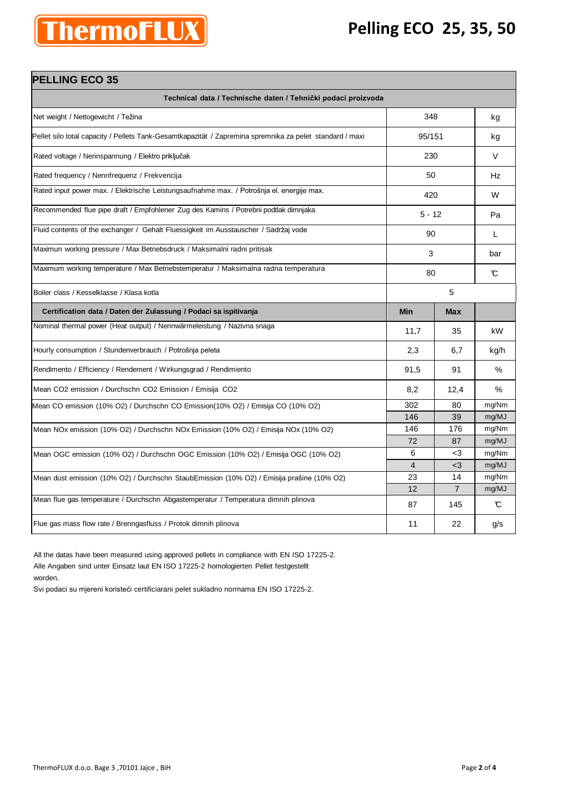### **Pelling ECO 25, 35, 50**

| THU<br>u i |  |
|------------|--|
|            |  |

| <b>PELLING ECO 35</b>                                                                                    |                   |                |        |
|----------------------------------------------------------------------------------------------------------|-------------------|----------------|--------|
| Technical data / Technische daten / Tehnički podaci proizvoda                                            |                   |                |        |
| Net weight / Nettogewicht / Težina                                                                       | 348               |                | kg     |
| Pellet silo total capacity / Pellets Tank-Gesamtkapazität / Zapremina spremnika za pelet standard / maxi | 95/151            |                | kg     |
| Rated voltage / Nennspannung / Elektro priključak                                                        | 230               |                | $\vee$ |
| Rated frequency / Nennfrequenz / Frekvencija                                                             | 50                |                | Hz     |
| Rated input power max. / Elektrische Leistungsaufnahme max. / Potrošnja el. energije max.                | 420               |                | W      |
| Recommended flue pipe draft / Empfohlener Zug des Kamins / Potrebni podtlak dimnjaka                     | $5 - 12$          |                | Pa     |
| Fluid contents of the exchanger / Gehalt Fluessigkeit im Ausstauscher / Sadržaj vode                     | 90                |                | L      |
| Maximun working pressure / Max Betriebsdruck / Maksimalni radni pritisak                                 | 3                 |                | bar    |
| Maximum working temperature / Max Betriebstemperatur / Maksimalna radna temperatura                      | 80                |                | C      |
| Boiler class / Kesselklasse / Klasa kotla                                                                | 5                 |                |        |
| Certification data / Daten der Zulassung / Podaci sa ispitivanja                                         | <b>Min</b>        | <b>Max</b>     |        |
| Nominal thermal power (Heat output) / Nennwärmeleistung / Nazivna snaga                                  | 11,7              | 35             | kW     |
| Hourly consumption / Stundenverbrauch / Potrošnja peleta                                                 | 2,3               | 6,7            | kg/h   |
| Rendimento / Efficiency / Rendement / Wirkungsgrad / Rendimiento                                         | 91,5              | 91             | $\%$   |
| Mean CO2 emission / Durchschn CO2 Emission / Emisija CO2                                                 | 8,2               | 12,4           | $\%$   |
| Mean CO emission (10% O2) / Durchschn CO Emission(10% O2) / Emisija CO (10% O2)                          | 302               | 80             | mg/Nm  |
|                                                                                                          | 146               | 39             | mg/MJ  |
| Mean NOx emission (10% O2) / Durchschn NOx Emission (10% O2) / Emisija NOx (10% O2)                      | 146               | 176            | mg/Nm  |
|                                                                                                          | 72                | 87             | mg/MJ  |
| Mean OGC emission (10% O2) / Durchschn OGC Emission (10% O2) / Emisija OGC (10% O2)                      | 6                 | $3$            | mg/Nm  |
|                                                                                                          | $\overline{4}$    | $3$            | mg/MJ  |
| Mean dust emission (10% O2) / Durchschn StaubEmission (10% O2) / Emisija prašine (10% O2)                | 23                | 14             | mg/Nm  |
|                                                                                                          | $12 \overline{ }$ | $\overline{7}$ | mg/MJ  |
| Mean flue gas temperature / Durchschn Abgastemperatur / Temperatura dimnih plinova                       | 87                | 145            | C      |
| Flue gas mass flow rate / Brenngasfluss / Protok dimnih plinova                                          | 11                | 22             | g/s    |

All the datas have been measured using approved pellets in compliance with EN ISO 17225-2. Alle Angaben sind unter Einsatz laut EN ISO 17225-2 homologierten Pellet festgestellt worden.

Svi podaci su mjereni koristeći certificiarani pelet sukladno normama EN ISO 17225-2.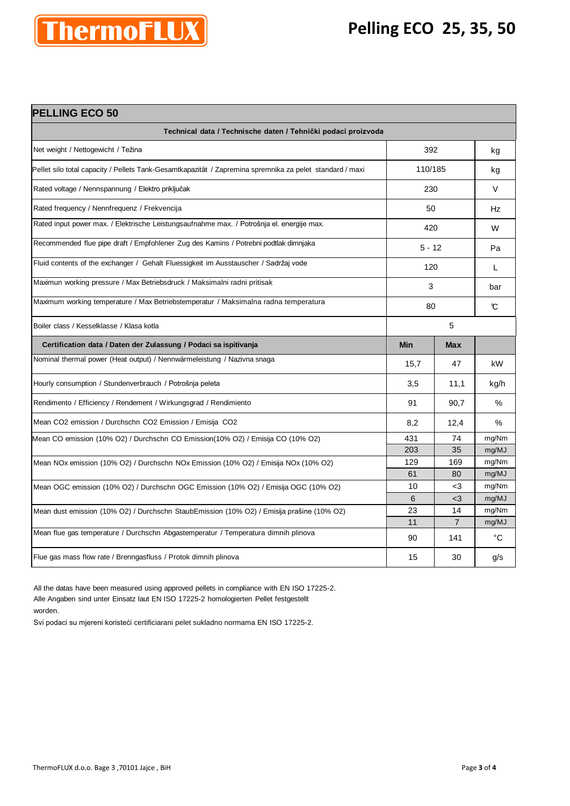#### **Pelling ECO 25, 35, 50**



| <b>PELLING ECO 50</b>                                                                                    |            |                |       |
|----------------------------------------------------------------------------------------------------------|------------|----------------|-------|
| Technical data / Technische daten / Tehnički podaci proizvoda                                            |            |                |       |
| Net weight / Nettogewicht / Težina                                                                       | 392        |                | kg    |
| Pellet silo total capacity / Pellets Tank-Gesamtkapazität / Zapremina spremnika za pelet standard / maxi | 110/185    |                | kg    |
| Rated voltage / Nennspannung / Elektro priključak                                                        | 230        |                | V     |
| Rated frequency / Nennfrequenz / Frekvencija                                                             | 50         |                | Hz    |
| Rated input power max. / Elektrische Leistungsaufnahme max. / Potrošnja el. energije max.                | 420        |                | W     |
| Recommended flue pipe draft / Empfohlener Zug des Kamins / Potrebni podtlak dimnjaka                     | $5 - 12$   |                | Pa    |
| Fluid contents of the exchanger / Gehalt Fluessigkeit im Ausstauscher / Sadržaj vode                     | 120        |                | L     |
| Maximun working pressure / Max Betriebsdruck / Maksimalni radni pritisak                                 | 3          |                | bar   |
| Maximum working temperature / Max Betriebstemperatur / Maksimalna radna temperatura                      | 80         |                | C     |
| Boiler class / Kesselklasse / Klasa kotla                                                                | 5          |                |       |
| Certification data / Daten der Zulassung / Podaci sa ispitivanja                                         | <b>Min</b> | Max            |       |
| Nominal thermal power (Heat output) / Nennwärmeleistung / Nazivna snaga                                  | 15,7       | 47             | kW    |
| Hourly consumption / Stundenverbrauch / Potrošnja peleta                                                 | 3,5        | 11,1           | kg/h  |
| Rendimento / Efficiency / Rendement / Wirkungsgrad / Rendimiento                                         | 91         | 90,7           | $\%$  |
| Mean CO2 emission / Durchschn CO2 Emission / Emisija CO2                                                 | 8,2        | 12,4           | $\%$  |
| Mean CO emission (10% O2) / Durchschn CO Emission(10% O2) / Emisija CO (10% O2)                          | 431        | 74             | mg/Nm |
|                                                                                                          | 203        | 35             | mg/MJ |
| Mean NOx emission (10% O2) / Durchschn NOx Emission (10% O2) / Emisija NOx (10% O2)                      | 129        | 169            | mg/Nm |
|                                                                                                          | 61         | 80             | mg/MJ |
| Mean OGC emission (10% O2) / Durchschn OGC Emission (10% O2) / Emisija OGC (10% O2)                      | 10         | $<$ 3          | mg/Nm |
|                                                                                                          | 6          | $3$            | mg/MJ |
| Mean dust emission (10% O2) / Durchschn StaubEmission (10% O2) / Emisija prašine (10% O2)                | 23         | 14             | mg/Nm |
|                                                                                                          | 11         | $\overline{7}$ | mg/MJ |
| Mean flue gas temperature / Durchschn Abgastemperatur / Temperatura dimnih plinova                       | 90         | 141            | °C    |
| Flue gas mass flow rate / Brenngasfluss / Protok dimnih plinova                                          | 15         | 30             | g/s   |

All the datas have been measured using approved pellets in compliance with EN ISO 17225-2. Alle Angaben sind unter Einsatz laut EN ISO 17225-2 homologierten Pellet festgestellt worden.

Svi podaci su mjereni koristeći certificiarani pelet sukladno normama EN ISO 17225-2.